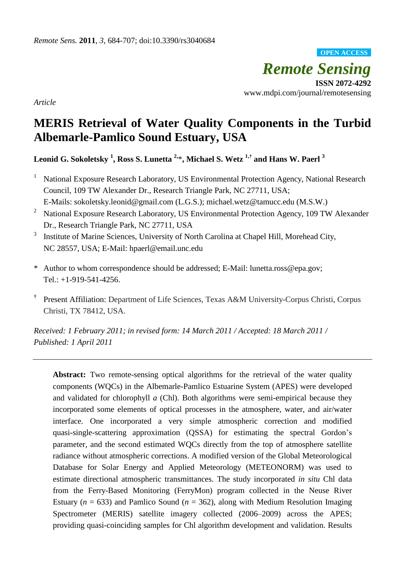*Remote Sensing* **ISSN 2072-4292** www.mdpi.com/journal/remotesensing **OPEN ACCESS**

*Article*

# **MERIS Retrieval of Water Quality Components in the Turbid Albemarle-Pamlico Sound Estuary, USA**

**Leonid G. Sokoletsky <sup>1</sup> , Ross S. Lunetta 2,**\***, Michael S. Wetz 1,† and Hans W. Paerl <sup>3</sup>**

- <sup>1</sup> National Exposure Research Laboratory, US Environmental Protection Agency, National Research Council, 109 TW Alexander Dr., Research Triangle Park, NC 27711, USA;
- E-Mails: [sokoletsky.leonid@gmail.com](mailto:sokoletsky.leonid@gmail.com) (L.G.S.); [michael.wetz@tamucc.edu](mailto:michael.wetz@tamucc.edu) (M.S.W.)
- <sup>2</sup> National Exposure Research Laboratory, US Environmental Protection Agency, 109 TW Alexander Dr., Research Triangle Park, NC 27711, USA
- 3 Institute of Marine Sciences, University of North Carolina at Chapel Hill, Morehead City, NC 28557, USA; E-Mail: hpaerl@email.unc.edu
- \* Author to whom correspondence should be addressed; E-Mail: lunetta.ross@epa.gov; Tel.: +1-919-541-4256.
- **†** Present Affiliation: Department of Life Sciences, Texas A&M University-Corpus Christi, Corpus Christi, TX 78412, USA.

*Received: 1 February 2011; in revised form: 14 March 2011 / Accepted: 18 March 2011 / Published: 1 April 2011* 

Abstract: Two remote-sensing optical algorithms for the retrieval of the water quality components (WQCs) in the Albemarle-Pamlico Estuarine System (APES) were developed and validated for chlorophyll *a* (Chl). Both algorithms were semi-empirical because they incorporated some elements of optical processes in the atmosphere, water, and air/water interface. One incorporated a very simple atmospheric correction and modified quasi-single-scattering approximation (QSSA) for estimating the spectral Gordon's parameter, and the second estimated WQCs directly from the top of atmosphere satellite radiance without atmospheric corrections. A modified version of the Global Meteorological Database for Solar Energy and Applied Meteorology (METEONORM) was used to estimate directional atmospheric transmittances. The study incorporated *in situ* Chl data from the Ferry-Based Monitoring (FerryMon) program collected in the Neuse River Estuary ( $n = 633$ ) and Pamlico Sound ( $n = 362$ ), along with Medium Resolution Imaging Spectrometer (MERIS) satellite imagery collected (2006–2009) across the APES; providing quasi-coinciding samples for Chl algorithm development and validation. Results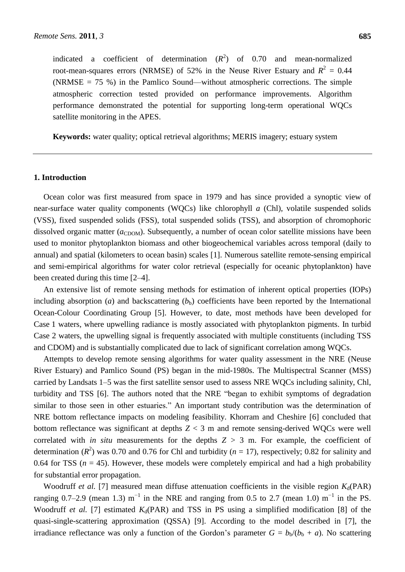indicated a coefficient of determination  $(R^2)$  of 0.70 and mean-normalized root-mean-squares errors (NRMSE) of 52% in the Neuse River Estuary and  $R^2 = 0.44$ (NRMSE  $= 75$  %) in the Pamlico Sound—without atmospheric corrections. The simple atmospheric correction tested provided on performance improvements. Algorithm performance demonstrated the potential for supporting long-term operational WQCs satellite monitoring in the APES.

**Keywords:** water quality; optical retrieval algorithms; MERIS imagery; estuary system

## **1. Introduction**

Ocean color was first measured from space in 1979 and has since provided a synoptic view of near-surface water quality components (WQCs) like chlorophyll *a* (Chl), volatile suspended solids (VSS), fixed suspended solids (FSS), total suspended solids (TSS), and absorption of chromophoric dissolved organic matter ( $a_{\text{CDOM}}$ ). Subsequently, a number of ocean color satellite missions have been used to monitor phytoplankton biomass and other biogeochemical variables across temporal (daily to annual) and spatial (kilometers to ocean basin) scales [1]. Numerous satellite remote-sensing empirical and semi-empirical algorithms for water color retrieval (especially for oceanic phytoplankton) have been created during this time [2–4].

An extensive list of remote sensing methods for estimation of inherent optical properties (IOPs) including absorption (*a*) and backscattering  $(b<sub>b</sub>)$  coefficients have been reported by the International Ocean-Colour Coordinating Group [5]. However, to date, most methods have been developed for Case 1 waters, where upwelling radiance is mostly associated with phytoplankton pigments. In turbid Case 2 waters, the upwelling signal is frequently associated with multiple constituents (including TSS and CDOM) and is substantially complicated due to lack of significant correlation among WQCs.

Attempts to develop remote sensing algorithms for water quality assessment in the NRE (Neuse River Estuary) and Pamlico Sound (PS) began in the mid-1980s. The Multispectral Scanner (MSS) carried by Landsats 1–5 was the first satellite sensor used to assess NRE WQCs including salinity, Chl, turbidity and TSS [6]. The authors noted that the NRE "began to exhibit symptoms of degradation similar to those seen in other estuaries." An important study contribution was the determination of NRE bottom reflectance impacts on modeling feasibility. Khorram and Cheshire [6] concluded that bottom reflectance was significant at depths *Z* < 3 m and remote sensing-derived WQCs were well correlated with *in situ* measurements for the depths  $Z > 3$  m. For example, the coefficient of determination  $(R^2)$  was 0.70 and 0.76 for Chl and turbidity  $(n = 17)$ , respectively; 0.82 for salinity and 0.64 for TSS ( $n = 45$ ). However, these models were completely empirical and had a high probability for substantial error propagation.

Woodruff *et al.* [7] measured mean diffuse attenuation coefficients in the visible region  $K_d(PAR)$ ranging 0.7–2.9 (mean 1.3)  $m^{-1}$  in the NRE and ranging from 0.5 to 2.7 (mean 1.0)  $m^{-1}$  in the PS. Woodruff *et al.* [7] estimated  $K_d(PAR)$  and TSS in PS using a simplified modification [8] of the quasi-single-scattering approximation (QSSA) [9]. According to the model described in [7], the irradiance reflectance was only a function of the Gordon's parameter  $G = b<sub>b</sub>/(b<sub>b</sub> + a)$ . No scattering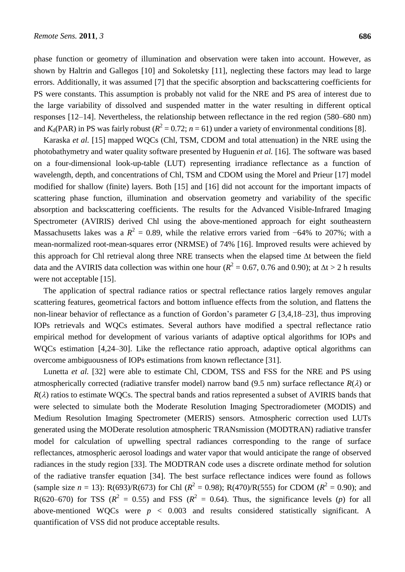phase function or geometry of illumination and observation were taken into account. However, as shown by Haltrin and Gallegos [10] and Sokoletsky [11], neglecting these factors may lead to large errors. Additionally, it was assumed [7] that the specific absorption and backscattering coefficients for PS were constants. This assumption is probably not valid for the NRE and PS area of interest due to the large variability of dissolved and suspended matter in the water resulting in different optical responses [12–14]. Nevertheless, the relationship between reflectance in the red region (580–680 nm) and  $K_d$ (PAR) in PS was fairly robust ( $R^2 = 0.72$ ;  $n = 61$ ) under a variety of environmental conditions [8].

Karaska *et al.* [15] mapped WQCs (Chl, TSM, CDOM and total attenuation) in the NRE using the photobathymetry and water quality software presented by Huguenin *et al.* [16]. The software was based on a four-dimensional look-up-table (LUT) representing irradiance reflectance as a function of wavelength, depth, and concentrations of Chl, TSM and CDOM using the Morel and Prieur [17] model modified for shallow (finite) layers. Both [15] and [16] did not account for the important impacts of scattering phase function, illumination and observation geometry and variability of the specific absorption and backscattering coefficients. The results for the Advanced Visible-Infrared Imaging Spectrometer (AVIRIS) derived Chl using the above-mentioned approach for eight southeastern Massachusetts lakes was a  $R^2 = 0.89$ , while the relative errors varied from  $-64\%$  to 207%; with a mean-normalized root-mean-squares error (NRMSE) of 74% [16]. Improved results were achieved by this approach for Chl retrieval along three NRE transects when the elapsed time  $\Delta t$  between the field data and the AVIRIS data collection was within one hour ( $R^2 = 0.67$ , 0.76 and 0.90); at  $\Delta t > 2$  h results were not acceptable [15].

The application of spectral radiance ratios or spectral reflectance ratios largely removes angular scattering features, geometrical factors and bottom influence effects from the solution, and flattens the non-linear behavior of reflectance as a function of Gordon's parameter *G* [3,4,18–23], thus improving IOPs retrievals and WQCs estimates. Several authors have modified a spectral reflectance ratio empirical method for development of various variants of adaptive optical algorithms for IOPs and WQCs estimation [4,24–30]. Like the reflectance ratio approach, adaptive optical algorithms can overcome ambiguousness of IOPs estimations from known reflectance [31].

Lunetta *et al.* [32] were able to estimate Chl, CDOM, TSS and FSS for the NRE and PS using atmospherically corrected (radiative transfer model) narrow band (9.5 nm) surface reflectance  $R(\lambda)$  or  $R(\lambda)$  ratios to estimate WQCs. The spectral bands and ratios represented a subset of AVIRIS bands that were selected to simulate both the Moderate Resolution Imaging Spectroradiometer (MODIS) and Medium Resolution Imaging Spectrometer (MERIS) sensors. Atmospheric correction used LUTs generated using the MODerate resolution atmospheric TRANsmission (MODTRAN) radiative transfer model for calculation of upwelling spectral radiances corresponding to the range of surface reflectances, atmospheric aerosol loadings and water vapor that would anticipate the range of observed radiances in the study region [33]. The MODTRAN code uses a discrete ordinate method for solution of the radiative transfer equation [34]. The best surface reflectance indices were found as follows (sample size  $n = 13$ ): R(693)/R(673) for Chl ( $R^2 = 0.98$ ); R(470)/R(555) for CDOM ( $R^2 = 0.90$ ); and R(620–670) for TSS ( $R^2 = 0.55$ ) and FSS ( $R^2 = 0.64$ ). Thus, the significance levels (*p*) for all above-mentioned WQCs were  $p < 0.003$  and results considered statistically significant. A quantification of VSS did not produce acceptable results.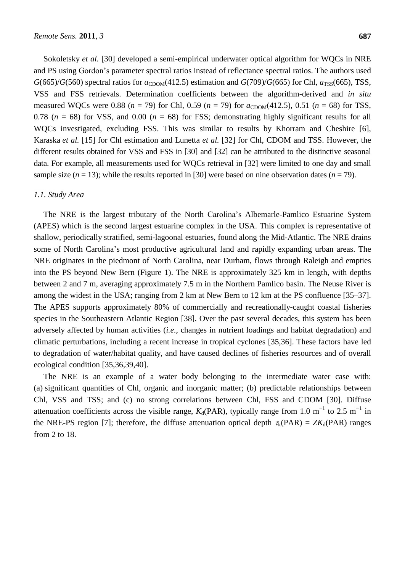Sokoletsky *et al.* [30] developed a semi-empirical underwater optical algorithm for WQCs in NRE and PS using Gordon's parameter spectral ratios instead of reflectance spectral ratios. The authors used  $G(665)/G(560)$  spectral ratios for  $a_{CDOM}(412.5)$  estimation and  $G(709)/G(665)$  for Chl,  $a_{TSS}(665)$ , TSS, VSS and FSS retrievals. Determination coefficients between the algorithm-derived and *in situ* measured WQCs were 0.88 ( $n = 79$ ) for Chl, 0.59 ( $n = 79$ ) for  $a_{CDOM}(412.5)$ , 0.51 ( $n = 68$ ) for TSS, 0.78 ( $n = 68$ ) for VSS, and 0.00 ( $n = 68$ ) for FSS; demonstrating highly significant results for all WQCs investigated, excluding FSS. This was similar to results by Khorram and Cheshire [6], Karaska *et al.* [15] for Chl estimation and Lunetta *et al.* [32] for Chl, CDOM and TSS. However, the different results obtained for VSS and FSS in [30] and [32] can be attributed to the distinctive seasonal data. For example, all measurements used for WQCs retrieval in [32] were limited to one day and small sample size  $(n = 13)$ ; while the results reported in [30] were based on nine observation dates  $(n = 79)$ .

## *1.1. Study Area*

The NRE is the largest tributary of the North Carolina's Albemarle-Pamlico Estuarine System (APES) which is the second largest estuarine complex in the USA. This complex is representative of shallow, periodically stratified, semi-lagoonal estuaries, found along the Mid-Atlantic. The NRE drains some of North Carolina's most productive agricultural land and rapidly expanding urban areas. The NRE originates in the piedmont of North Carolina, near Durham, flows through Raleigh and empties into the PS beyond New Bern (Figure 1). The NRE is approximately 325 km in length, with depths between 2 and 7 m, averaging approximately 7.5 m in the Northern Pamlico basin. The Neuse River is among the widest in the USA; ranging from 2 km at New Bern to 12 km at the PS confluence [35–37]. The APES supports approximately 80% of commercially and recreationally-caught coastal fisheries species in the Southeastern Atlantic Region [38]. Over the past several decades, this system has been adversely affected by human activities (*i.e.*, changes in nutrient loadings and habitat degradation) and climatic perturbations, including a recent increase in tropical cyclones [35,36]. These factors have led to degradation of water/habitat quality, and have caused declines of fisheries resources and of overall ecological condition [35,36,39,40].

The NRE is an example of a water body belonging to the intermediate water case with: (a) significant quantities of Chl, organic and inorganic matter; (b) predictable relationships between Chl, VSS and TSS; and (c) no strong correlations between Chl, FSS and CDOM [30]. Diffuse attenuation coefficients across the visible range,  $K_d(PAR)$ , typically range from 1.0 m<sup>-1</sup> to 2.5 m<sup>-1</sup> in the NRE-PS region [7]; therefore, the diffuse attenuation optical depth  $\tau_k(PAR) = ZK_d(PAR)$  ranges from 2 to 18.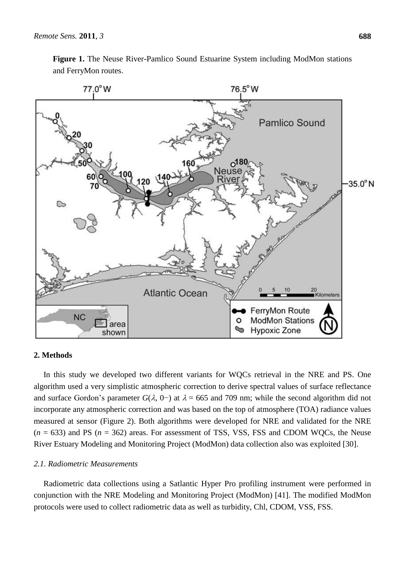

**Figure 1.** The Neuse River-Pamlico Sound Estuarine System including ModMon stations and FerryMon routes.

# **2. Methods**

In this study we developed two different variants for WQCs retrieval in the NRE and PS. One algorithm used a very simplistic atmospheric correction to derive spectral values of surface reflectance and surface Gordon's parameter  $G(\lambda, 0-)$  at  $\lambda = 665$  and 709 nm; while the second algorithm did not incorporate any atmospheric correction and was based on the top of atmosphere (TOA) radiance values measured at sensor (Figure 2). Both algorithms were developed for NRE and validated for the NRE  $(n = 633)$  and PS  $(n = 362)$  areas. For assessment of TSS, VSS, FSS and CDOM WQCs, the Neuse River Estuary Modeling and Monitoring Project (ModMon) data collection also was exploited [30].

# *2.1. Radiometric Measurements*

Radiometric data collections using a Satlantic Hyper Pro profiling instrument were performed in conjunction with the NRE Modeling and Monitoring Project (ModMon) [41]. The modified ModMon protocols were used to collect radiometric data as well as turbidity, Chl, CDOM, VSS, FSS.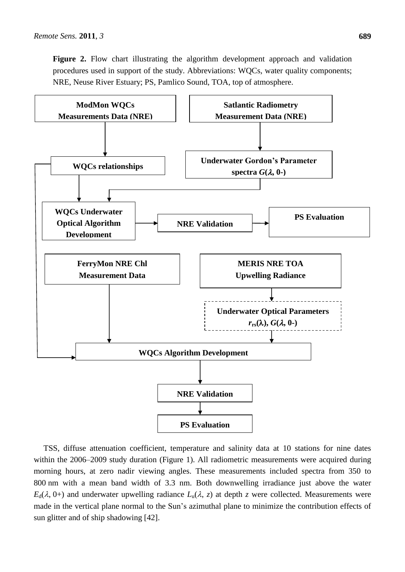**Figure 2.** Flow chart illustrating the algorithm development approach and validation procedures used in support of the study. Abbreviations: WQCs, water quality components; NRE, Neuse River Estuary; PS, Pamlico Sound, TOA, top of atmosphere.



TSS, diffuse attenuation coefficient, temperature and salinity data at 10 stations for nine dates within the 2006–2009 study duration (Figure 1). All radiometric measurements were acquired during morning hours, at zero nadir viewing angles. These measurements included spectra from 350 to 800 nm with a mean band width of 3.3 nm. Both downwelling irradiance just above the water  $E_d(\lambda, 0+)$  and underwater upwelling radiance  $L_u(\lambda, z)$  at depth *z* were collected. Measurements were made in the vertical plane normal to the Sun's azimuthal plane to minimize the contribution effects of sun glitter and of ship shadowing [42].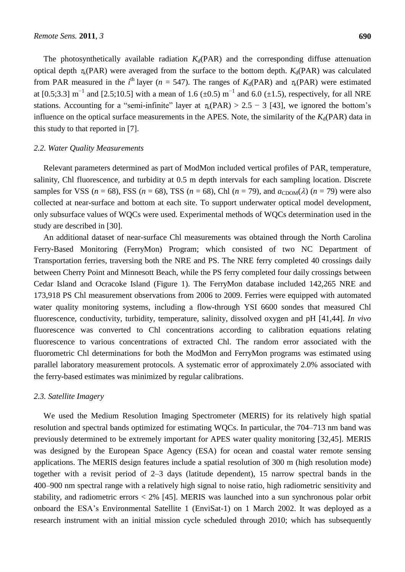The photosynthetically available radiation  $K_d(PAR)$  and the corresponding diffuse attenuation optical depth  $\tau_k(PAR)$  were averaged from the surface to the bottom depth.  $K_d(PAR)$  was calculated from PAR measured in the *i*<sup>th</sup> layer ( $n = 547$ ). The ranges of  $K_d(PAR)$  and  $\tau_k(PAR)$  were estimated at [0.5;3.3]  $m^{-1}$  and [2.5;10.5] with a mean of 1.6 ( $\pm$ 0.5)  $m^{-1}$  and 6.0 ( $\pm$ 1.5), respectively, for all NRE stations. Accounting for a "semi-infinite" layer at  $\tau_k(PAR) > 2.5 - 3$  [43], we ignored the bottom's influence on the optical surface measurements in the APES. Note, the similarity of the  $K_d(PAR)$  data in this study to that reported in [7].

## *2.2. Water Quality Measurements*

Relevant parameters determined as part of ModMon included vertical profiles of PAR, temperature, salinity, Chl fluorescence, and turbidity at 0.5 m depth intervals for each sampling location. Discrete samples for VSS ( $n = 68$ ), FSS ( $n = 68$ ), TSS ( $n = 68$ ), Chl ( $n = 79$ ), and  $a_{CDOM}(\lambda)$  ( $n = 79$ ) were also collected at near-surface and bottom at each site. To support underwater optical model development, only subsurface values of WQCs were used. Experimental methods of WQCs determination used in the study are described in [30].

An additional dataset of near-surface Chl measurements was obtained through the North Carolina Ferry-Based Monitoring (FerryMon) Program; which consisted of two NC Department of Transportation ferries, traversing both the NRE and PS. The NRE ferry completed 40 crossings daily between Cherry Point and Minnesott Beach, while the PS ferry completed four daily crossings between Cedar Island and Ocracoke Island (Figure 1). The FerryMon database included 142,265 NRE and 173,918 PS Chl measurement observations from 2006 to 2009. Ferries were equipped with automated water quality monitoring systems, including a flow-through YSI 6600 sondes that measured Chl fluorescence, conductivity, turbidity, temperature, salinity, dissolved oxygen and pH [41,44]. *In vivo* fluorescence was converted to Chl concentrations according to calibration equations relating fluorescence to various concentrations of extracted Chl. The random error associated with the fluorometric Chl determinations for both the ModMon and FerryMon programs was estimated using parallel laboratory measurement protocols. A systematic error of approximately 2.0% associated with the ferry-based estimates was minimized by regular calibrations.

## *2.3. Satellite Imagery*

We used the Medium Resolution Imaging Spectrometer (MERIS) for its relatively high spatial resolution and spectral bands optimized for estimating WQCs. In particular, the 704–713 nm band was previously determined to be extremely important for APES water quality monitoring [32,45]. MERIS was designed by the European Space Agency (ESA) for ocean and coastal water remote sensing applications. The MERIS design features include a spatial resolution of 300 m (high resolution mode) together with a revisit period of 2–3 days (latitude dependent), 15 narrow spectral bands in the 400–900 nm spectral range with a relatively high signal to noise ratio, high radiometric sensitivity and stability, and radiometric errors < 2% [45]. MERIS was launched into a sun synchronous polar orbit onboard the ESA's Environmental Satellite 1 (EnviSat-1) on 1 March 2002. It was deployed as a research instrument with an initial mission cycle scheduled through 2010; which has subsequently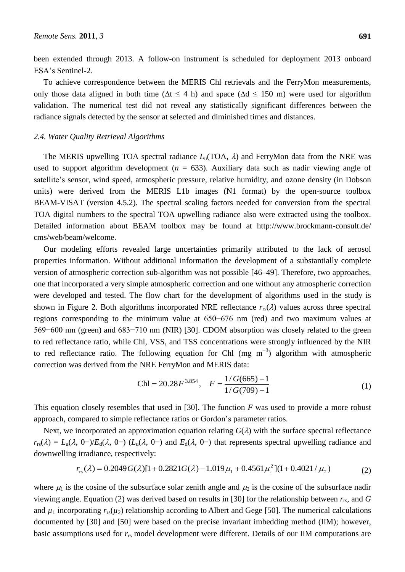been extended through 2013. A follow-on instrument is scheduled for deployment 2013 onboard ESA's Sentinel-2.

To achieve correspondence between the MERIS Chl retrievals and the FerryMon measurements, only those data aligned in both time ( $\Delta t \leq 4$  h) and space ( $\Delta d \leq 150$  m) were used for algorithm validation. The numerical test did not reveal any statistically significant differences between the radiance signals detected by the sensor at selected and diminished times and distances.

## *2.4. Water Quality Retrieval Algorithms*

The MERIS upwelling TOA spectral radiance  $L<sub>u</sub>(TOA, \lambda)$  and FerryMon data from the NRE was used to support algorithm development ( $n = 633$ ). Auxiliary data such as nadir viewing angle of satellite's sensor, wind speed, atmospheric pressure, relative humidity, and ozone density (in Dobson units) were derived from the MERIS L1b images (N1 format) by the open-source toolbox BEAM-VISAT (version 4.5.2). The spectral scaling factors needed for conversion from the spectral TOA digital numbers to the spectral TOA upwelling radiance also were extracted using the toolbox. Detailed information about BEAM toolbox may be found at [http://www.brockmann-consult.de/](http://www.brockmann-consult.de/%0bcms/web/beam/welcome) [cms/web/beam/welcome.](http://www.brockmann-consult.de/%0bcms/web/beam/welcome)

Our modeling efforts revealed large uncertainties primarily attributed to the lack of aerosol properties information. Without additional information the development of a substantially complete version of atmospheric correction sub-algorithm was not possible [46–49]. Therefore, two approaches, one that incorporated a very simple atmospheric correction and one without any atmospheric correction were developed and tested. The flow chart for the development of algorithms used in the study is shown in Figure 2. Both algorithms incorporated NRE reflectance  $r_{rs}(\lambda)$  values across three spectral regions corresponding to the minimum value at 650−676 nm (red) and two maximum values at 569−600 nm (green) and 683−710 nm (NIR) [30]. CDOM absorption was closely related to the green to red reflectance ratio, while Chl, VSS, and TSS concentrations were strongly influenced by the NIR to red reflectance ratio. The following equation for Chl (mg  $m^{-3}$ ) algorithm with atmospheric correction was derived from the NRE FerryMon and MERIS data:

$$
Chl = 20.28F^{3.854}, \quad F = \frac{1/G(665) - 1}{1/G(709) - 1}
$$
 (1)

This equation closely resembles that used in [30]. The function *F* was used to provide a more robust approach, compared to simple reflectance ratios or Gordon's parameter ratios.

Next, we incorporated an approximation equation relating  $G(\lambda)$  with the surface spectral reflectance  $r_{rs}(\lambda) = L_u(\lambda, 0-) / E_d(\lambda, 0-)$  ( $L_u(\lambda, 0-)$ ) and  $E_d(\lambda, 0-)$  that represents spectral upwelling radiance and downwelling irradiance, respectively:

$$
r_{\rm rs}(\lambda) = 0.2049G(\lambda)[1 + 0.2821G(\lambda) - 1.019\mu_1 + 0.4561\mu_1^2](1 + 0.4021/\mu_2)
$$
 (2)

where  $\mu_1$  is the cosine of the subsurface solar zenith angle and  $\mu_2$  is the cosine of the subsurface nadir viewing angle. Equation (2) was derived based on results in [30] for the relationship between *r*rs, and *G* and  $\mu_1$  incorporating  $r_{rs}(\mu_2)$  relationship according to Albert and Gege [50]. The numerical calculations documented by [30] and [50] were based on the precise invariant imbedding method (IIM); however, basic assumptions used for *r*rs model development were different. Details of our IIM computations are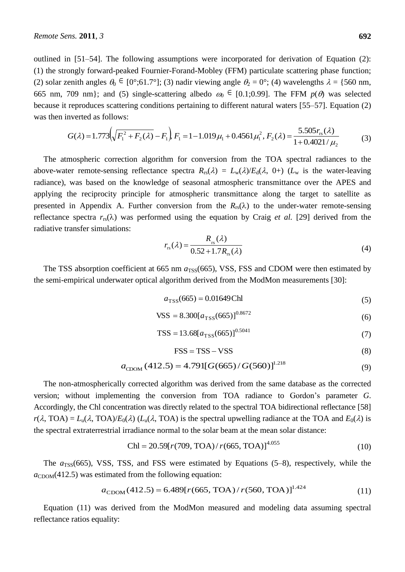outlined in [51–54]. The following assumptions were incorporated for derivation of Equation (2): (1) the strongly forward-peaked Fournier-Forand-Mobley (FFM) particulate scattering phase function; (2) solar zenith angles  $\theta_0 \in [0, 0.961.7, 0.07]$ ; (3) nadir viewing angle  $\theta_2 = 0, 0.4$  wavelengths  $\lambda = \{560 \text{ nm},$ 665 nm, 709 nm}; and (5) single-scattering albedo  $\omega_0 \in [0.1;0.99]$ . The FFM  $p(\theta)$  was selected because it reproduces scattering conditions pertaining to different natural waters [55–57]. Equation (2) was then inverted as follows:

$$
G(\lambda) = 1.773 \left( \sqrt{F_1^2 + F_2(\lambda)} - F_1 \right) F_1 = 1 - 1.019 \mu_1 + 0.4561 \mu_1^2, F_2(\lambda) = \frac{5.505 r_{\rm rs}(\lambda)}{1 + 0.4021 / \mu_2}
$$
(3)

The atmospheric correction algorithm for conversion from the TOA spectral radiances to the above-water remote-sensing reflectance spectra  $R_{rs}(\lambda) = L_w(\lambda)/E_d(\lambda, 0+)$  ( $L_w$  is the water-leaving radiance), was based on the knowledge of seasonal atmospheric transmittance over the APES and applying the reciprocity principle for atmospheric transmittance along the target to satellite as presented in Appendix A. Further conversion from the  $R_{rs}(\lambda)$  to the under-water remote-sensing reflectance spectra  $r_{rs}(\lambda)$  was performed using the equation by Craig *et al.* [29] derived from the radiative transfer simulations:

$$
r_{rs}(\lambda) = \frac{R_{rs}(\lambda)}{0.52 + 1.7R_{rs}(\lambda)}
$$
(4)

The TSS absorption coefficient at 665 nm  $a_{\text{TSS}}(665)$ , VSS, FSS and CDOM were then estimated by the semi-empirical underwater optical algorithm derived from the ModMon measurements [30]:

$$
a_{\text{TSS}}(665) = 0.01649 \text{Chl} \tag{5}
$$

$$
VSS = 8.300[a_{TSS}(665)]^{0.8672}
$$
 (6)

$$
TSS = 13.68[a_{TSS}(665)]^{0.5041}
$$
 (7)

$$
FSS = TSS - VSS
$$
 (8)

$$
a_{\text{CDOM}}(412.5) = 4.791[G(665)/G(560)]^{1.218}
$$
\n(9)

The non-atmospherically corrected algorithm was derived from the same database as the corrected version; without implementing the conversion from TOA radiance to Gordon's parameter *G*. Accordingly, the Chl concentration was directly related to the spectral TOA bidirectional reflectance [58]  $r(\lambda, \text{TOA}) = L_u(\lambda, \text{TOA})/E_0(\lambda)$  ( $L_u(\lambda, \text{TOA})$ ) is the spectral upwelling radiance at the TOA and  $E_0(\lambda)$  is the spectral extraterrestrial irradiance normal to the solar beam at the mean solar distance:

$$
Chl = 20.59[r(709, TOA)/r(665, TOA)]^{4.055}
$$
 (10)

The  $a_{TSS}(665)$ , VSS, TSS, and FSS were estimated by Equations (5–8), respectively, while the  $a_{\text{CDOM}}(412.5)$  was estimated from the following equation:

$$
a_{\text{CDOM}}(412.5) = 6.489[r(665, TOA) / r(560, TOA)]^{1.424}
$$
 (11)

Equation (11) was derived from the ModMon measured and modeling data assuming spectral reflectance ratios equality: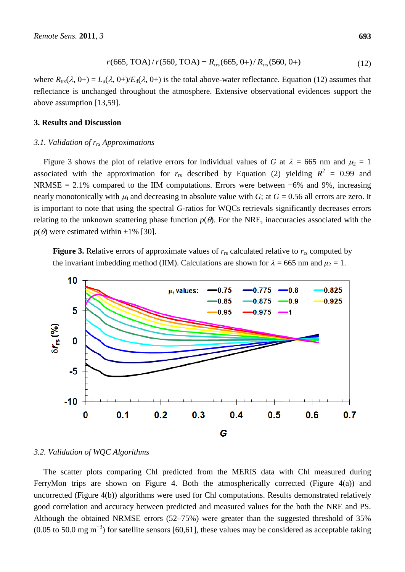$$
r(665, TOA) / r(560, TOA) = R_{\text{trs}}(665, 0+)/ R_{\text{trs}}(560, 0+)
$$
\n(12)

where  $R_{\text{trs}}(\lambda, 0+) = L_u(\lambda, 0+) / E_d(\lambda, 0+)$  is the total above-water reflectance. Equation (12) assumes that reflectance is unchanged throughout the atmosphere. Extensive observational evidences support the above assumption [13,59].

# **3. Results and Discussion**

#### *3.1. Validation of rrs Approximations*

Figure 3 shows the plot of relative errors for individual values of *G* at  $\lambda = 665$  nm and  $\mu_2 = 1$ associated with the approximation for  $r_{rs}$  described by Equation (2) yielding  $R^2 = 0.99$  and NRMSE = 2.1% compared to the IIM computations. Errors were between  $-6\%$  and 9%, increasing nearly monotonically with  $\mu_1$  and decreasing in absolute value with *G*; at  $G = 0.56$  all errors are zero. It is important to note that using the spectral *G*-ratios for WQCs retrievals significantly decreases errors relating to the unknown scattering phase function  $p(\theta)$ . For the NRE, inaccuracies associated with the  $p(\theta)$  were estimated within  $\pm 1\%$  [30].

**Figure 3.** Relative errors of approximate values of  $r_{rs}$  calculated relative to  $r_{rs}$  computed by the invariant imbedding method (IIM). Calculations are shown for  $\lambda = 665$  nm and  $\mu_2 = 1$ .



## *3.2. Validation of WQC Algorithms*

The scatter plots comparing Chl predicted from the MERIS data with Chl measured during FerryMon trips are shown on Figure 4. Both the atmospherically corrected (Figure 4(a)) and uncorrected (Figure 4(b)) algorithms were used for Chl computations. Results demonstrated relatively good correlation and accuracy between predicted and measured values for the both the NRE and PS. Although the obtained NRMSE errors (52–75%) were greater than the suggested threshold of 35%  $(0.05 \text{ to } 50.0 \text{ mg m}^{-3})$  for satellite sensors [60,61], these values may be considered as acceptable taking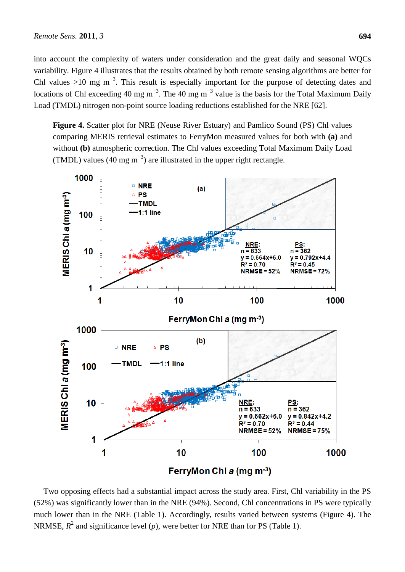into account the complexity of waters under consideration and the great daily and seasonal WQCs variability. Figure 4 illustrates that the results obtained by both remote sensing algorithms are better for Chl values >10 mg  $m^{-3}$ . This result is especially important for the purpose of detecting dates and locations of Chl exceeding 40 mg m<sup>-3</sup>. The 40 mg m<sup>-3</sup> value is the basis for the Total Maximum Daily Load (TMDL) nitrogen non-point source loading reductions established for the NRE [62].

**Figure 4.** Scatter plot for NRE (Neuse River Estuary) and Pamlico Sound (PS) Chl values comparing MERIS retrieval estimates to FerryMon measured values for both with **(a)** and without **(b)** atmospheric correction. The Chl values exceeding Total Maximum Daily Load (TMDL) values (40 mg m<sup>-3</sup>) are illustrated in the upper right rectangle.



Two opposing effects had a substantial impact across the study area. First, Chl variability in the PS (52%) was significantly lower than in the NRE (94%). Second, Chl concentrations in PS were typically much lower than in the NRE (Table 1). Accordingly, results varied between systems (Figure 4). The NRMSE,  $R^2$  and significance level  $(p)$ , were better for NRE than for PS (Table 1).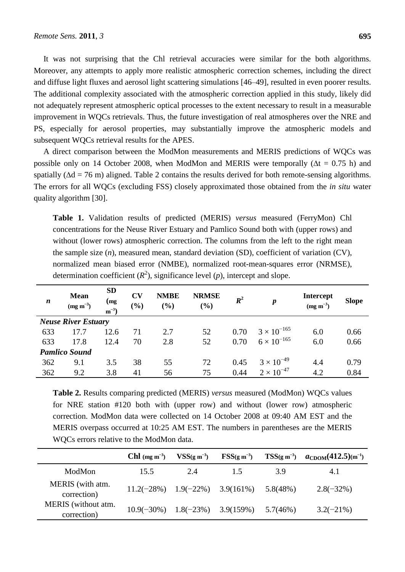It was not surprising that the Chl retrieval accuracies were similar for the both algorithms. Moreover, any attempts to apply more realistic atmospheric correction schemes, including the direct and diffuse light fluxes and aerosol light scattering simulations [46–49], resulted in even poorer results. The additional complexity associated with the atmospheric correction applied in this study, likely did not adequately represent atmospheric optical processes to the extent necessary to result in a measurable improvement in WQCs retrievals. Thus, the future investigation of real atmospheres over the NRE and PS, especially for aerosol properties, may substantially improve the atmospheric models and subsequent WQCs retrieval results for the APES.

A direct comparison between the ModMon measurements and MERIS predictions of WQCs was possible only on 14 October 2008, when ModMon and MERIS were temporally ( $\Delta t = 0.75$  h) and spatially ( $\Delta d = 76$  m) aligned. Table 2 contains the results derived for both remote-sensing algorithms. The errors for all WQCs (excluding FSS) closely approximated those obtained from the *in situ* water quality algorithm [30].

**Table 1.** Validation results of predicted (MERIS) *versus* measured (FerryMon) Chl concentrations for the Neuse River Estuary and Pamlico Sound both with (upper rows) and without (lower rows) atmospheric correction. The columns from the left to the right mean the sample size (*n*), measured mean, standard deviation (SD), coefficient of variation (CV), normalized mean biased error (NMBE), normalized root-mean-squares error (NRMSE), determination coefficient  $(R^2)$ , significance level  $(p)$ , intercept and slope.

| $\boldsymbol{n}$           | <b>Mean</b><br>$(mg \, m^{-3})$ | <b>SD</b><br>(mg<br>$m^{-3}$ | $\mathbf{C}\mathbf{V}$<br>$(\%)$ | <b>NMBE</b><br>$(\%)$ | <b>NRMSE</b><br>(%) | $R^2$ | $\boldsymbol{p}$     | <b>Intercept</b><br>$(mg m^{-3})$ | <b>Slope</b> |  |  |
|----------------------------|---------------------------------|------------------------------|----------------------------------|-----------------------|---------------------|-------|----------------------|-----------------------------------|--------------|--|--|
| <b>Neuse River Estuary</b> |                                 |                              |                                  |                       |                     |       |                      |                                   |              |  |  |
| 633                        | 17.7                            | 12.6                         | 71                               | 2.7                   | 52                  | 0.70  | $3 \times 10^{-165}$ | 6.0                               | 0.66         |  |  |
| 633                        | 17.8                            | 12.4                         | 70                               | 2.8                   | 52                  | 0.70  | $6 \times 10^{-165}$ | 6.0                               | 0.66         |  |  |
| <b>Pamlico Sound</b>       |                                 |                              |                                  |                       |                     |       |                      |                                   |              |  |  |
| 362                        | 9.1                             | 3.5                          | 38                               | 55                    | 72                  | 0.45  | $3 \times 10^{-49}$  | 4.4                               | 0.79         |  |  |
| 362                        | 9.2                             | 3.8                          | 41                               | 56                    | 75                  | 0.44  | $2 \times 10^{-47}$  | 4.2                               | 0.84         |  |  |

**Table 2.** Results comparing predicted (MERIS) *versus* measured (ModMon) WQCs values for NRE station #120 both with (upper row) and without (lower row) atmospheric correction. ModMon data were collected on 14 October 2008 at 09:40 AM EST and the MERIS overpass occurred at 10:25 AM EST. The numbers in parentheses are the MERIS WQCs errors relative to the ModMon data.

|                                    | <b>Chl</b> (mg m <sup>-3</sup> )        | $VSS(g m-3)$ | $FSS(g m^{-3})$                         |          | $TSS(g m^{-3})$ $a_{CDOM}(412.5)$ (m <sup>-1</sup> ) |
|------------------------------------|-----------------------------------------|--------------|-----------------------------------------|----------|------------------------------------------------------|
| ModMon                             | 15.5                                    | 2.4          | 1.5                                     | 3.9      | 4.1                                                  |
| MERIS (with atm.<br>correction)    | $11.2(-28\%)$ $1.9(-22\%)$ $3.9(161\%)$ |              |                                         | 5.8(48%) | $2.8(-32\%)$                                         |
| MERIS (without atm.<br>correction) |                                         |              | $10.9(-30\%)$ $1.8(-23\%)$ $3.9(159\%)$ | 5.7(46%) | $3.2(-21\%)$                                         |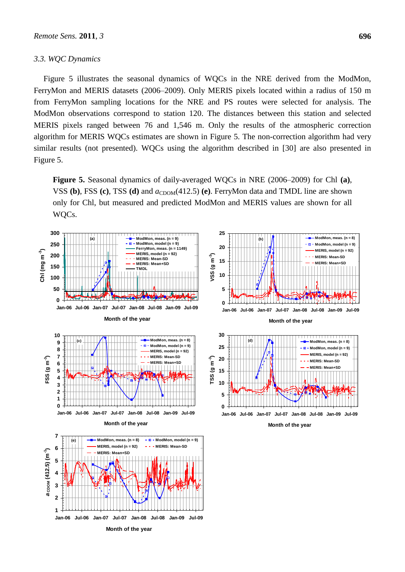#### *3.3. WQC Dynamics*

Figure 5 illustrates the seasonal dynamics of WQCs in the NRE derived from the ModMon, FerryMon and MERIS datasets (2006–2009). Only MERIS pixels located within a radius of 150 m from FerryMon sampling locations for the NRE and PS routes were selected for analysis. The ModMon observations correspond to station 120. The distances between this station and selected MERIS pixels ranged between 76 and 1,546 m. Only the results of the atmospheric correction algorithm for MERIS WQCs estimates are shown in Figure 5. The non-correction algorithm had very similar results (not presented). WQCs using the algorithm described in [30] are also presented in Figure 5.

**Figure 5.** Seasonal dynamics of daily-averaged WQCs in NRE (2006–2009) for Chl **(a)**, VSS (b), FSS (c), TSS (d) and  $a_{CDOM}(412.5)$  (e). FerryMon data and TMDL line are shown only for Chl, but measured and predicted ModMon and MERIS values are shown for all WQCs.

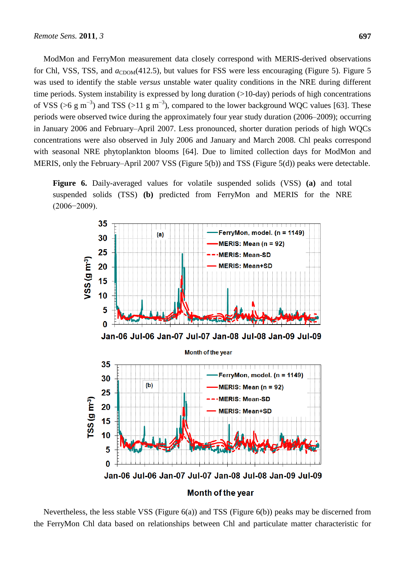ModMon and FerryMon measurement data closely correspond with MERIS-derived observations for Chl, VSS, TSS, and  $a_{CDOM}(412.5)$ , but values for FSS were less encouraging (Figure 5). Figure 5 was used to identify the stable *versus* unstable water quality conditions in the NRE during different time periods. System instability is expressed by long duration (>10-day) periods of high concentrations of VSS (>6 g m<sup>-3</sup>) and TSS (>11 g m<sup>-3</sup>), compared to the lower background WQC values [63]. These periods were observed twice during the approximately four year study duration (2006–2009); occurring in January 2006 and February–April 2007. Less pronounced, shorter duration periods of high WQCs concentrations were also observed in July 2006 and January and March 2008. Chl peaks correspond with seasonal NRE phytoplankton blooms [64]. Due to limited collection days for ModMon and MERIS, only the February–April 2007 VSS (Figure 5(b)) and TSS (Figure 5(d)) peaks were detectable.

**Figure 6.** Daily-averaged values for volatile suspended solids (VSS) **(a)** and total suspended solids (TSS) **(b)** predicted from FerryMon and MERIS for the NRE (2006−2009).



Nevertheless, the less stable VSS (Figure 6(a)) and TSS (Figure 6(b)) peaks may be discerned from the FerryMon Chl data based on relationships between Chl and particulate matter characteristic for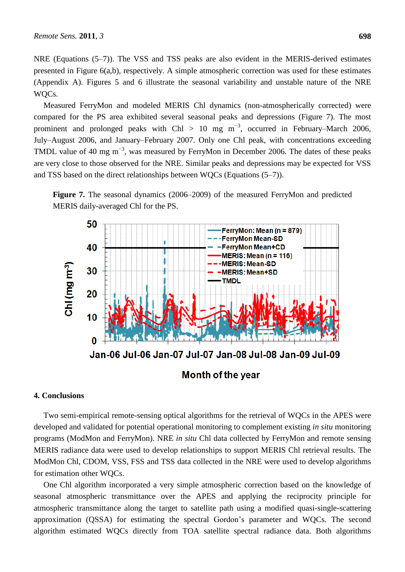NRE (Equations (5–7)). The VSS and TSS peaks are also evident in the MERIS-derived estimates presented in Figure 6(a,b), respectively. A simple atmospheric correction was used for these estimates (Appendix A). Figures 5 and 6 illustrate the seasonal variability and unstable nature of the NRE WQCs.

Measured FerryMon and modeled MERIS Chl dynamics (non-atmospherically corrected) were compared for the PS area exhibited several seasonal peaks and depressions (Figure 7). The most prominent and prolonged peaks with Chl > 10 mg  $m^{-3}$ , occurred in February–March 2006, July–August 2006, and January–February 2007. Only one Chl peak, with concentrations exceeding TMDL value of 40 mg m<sup>-3</sup>, was measured by FerryMon in December 2006. The dates of these peaks are very close to those observed for the NRE. Similar peaks and depressions may be expected for VSS and TSS based on the direct relationships between WQCs (Equations (5–7)).





## **4. Conclusions**

Two semi-empirical remote-sensing optical algorithms for the retrieval of WQCs in the APES were developed and validated for potential operational monitoring to complement existing *in situ* monitoring programs (ModMon and FerryMon). NRE *in situ* Chl data collected by FerryMon and remote sensing MERIS radiance data were used to develop relationships to support MERIS Chl retrieval results. The ModMon Chl, CDOM, VSS, FSS and TSS data collected in the NRE were used to develop algorithms for estimation other WQCs.

One Chl algorithm incorporated a very simple atmospheric correction based on the knowledge of seasonal atmospheric transmittance over the APES and applying the reciprocity principle for atmospheric transmittance along the target to satellite path using a modified quasi-single-scattering approximation (QSSA) for estimating the spectral Gordon's parameter and WQCs. The second algorithm estimated WQCs directly from TOA satellite spectral radiance data. Both algorithms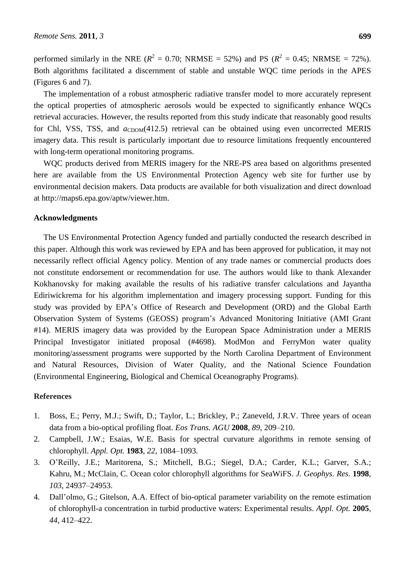performed similarly in the NRE ( $R^2 = 0.70$ ; NRMSE = 52%) and PS ( $R^2 = 0.45$ ; NRMSE = 72%). Both algorithms facilitated a discernment of stable and unstable WQC time periods in the APES (Figures 6 and 7).

The implementation of a robust atmospheric radiative transfer model to more accurately represent the optical properties of atmospheric aerosols would be expected to significantly enhance WQCs retrieval accuracies. However, the results reported from this study indicate that reasonably good results for Chl, VSS, TSS, and  $a_{CDOM}(412.5)$  retrieval can be obtained using even uncorrected MERIS imagery data. This result is particularly important due to resource limitations frequently encountered with long-term operational monitoring programs.

WQC products derived from MERIS imagery for the NRE-PS area based on algorithms presented here are available from the US Environmental Protection Agency web site for further use by environmental decision makers. Data products are available for both visualization and direct download at http://maps6.epa.gov/aptw/viewer.htm.

## **Acknowledgments**

The US Environmental Protection Agency funded and partially conducted the research described in this paper. Although this work was reviewed by EPA and has been approved for publication, it may not necessarily reflect official Agency policy. Mention of any trade names or commercial products does not constitute endorsement or recommendation for use. The authors would like to thank Alexander Kokhanovsky for making available the results of his radiative transfer calculations and Jayantha Ediriwickrema for his algorithm implementation and imagery processing support. Funding for this study was provided by EPA's Office of Research and Development (ORD) and the Global Earth Observation System of Systems (GEOSS) program's Advanced Monitoring Initiative (AMI Grant #14). MERIS imagery data was provided by the European Space Administration under a MERIS Principal Investigator initiated proposal (#4698). ModMon and FerryMon water quality monitoring/assessment programs were supported by the North Carolina Department of Environment and Natural Resources, Division of Water Quality, and the National Science Foundation (Environmental Engineering, Biological and Chemical Oceanography Programs).

## **References**

- 1. Boss, E.; Perry, M.J.; Swift, D.; Taylor, L.; Brickley, P.; Zaneveld, J.R.V. Three years of ocean data from a bio-optical profiling float. *Eos Trans. AGU* **2008**, *89*, 209–210.
- 2. Campbell, J.W.; Esaias, W.E. Basis for spectral curvature algorithms in remote sensing of chlorophyll. *Appl. Opt.* **1983**, *22*, 1084–1093.
- 3. O'Reilly, J.E.; Maritorena, S.; Mitchell, B.G.; Siegel, D.A.; Carder, K.L.; Garver, S.A.; Kahru, M.; McClain, C. Ocean color chlorophyll algorithms for SeaWiFS. *J. Geophys. Res.* **1998**, *103*, 24937–24953.
- 4. Dall'olmo, G.; Gitelson, A.A. Effect of bio-optical parameter variability on the remote estimation of chlorophyll-a concentration in turbid productive waters: Experimental results. *Appl. Opt.* **2005**, *44*, 412–422.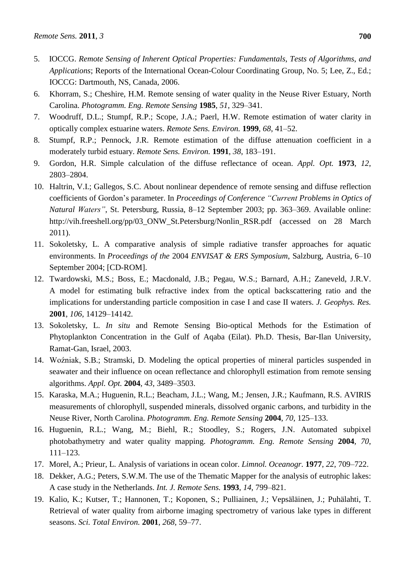- 5. IOCCG. *Remote Sensing of Inherent Optical Properties: Fundamentals*, *Tests of Algorithms*, *and Applications*; Reports of the International Ocean-Colour Coordinating Group, No. 5; Lee, Z., Ed.; IOCCG: Dartmouth, NS, Canada, 2006.
- 6. Khorram, S.; Cheshire, H.M. Remote sensing of water quality in the Neuse River Estuary, North Carolina. *Photogramm. Eng. Remote Sensing* **1985**, *51*, 329–341.
- 7. Woodruff, D.L.; Stumpf, R.P.; Scope, J.A.; Paerl, H.W. Remote estimation of water clarity in optically complex estuarine waters. *Remote Sens. Environ.* **1999**, *68*, 41–52.
- 8. Stumpf, R.P.; Pennock, J.R. Remote estimation of the diffuse attenuation coefficient in a moderately turbid estuary. *Remote Sens. Environ.* **1991**, *38*, 183–191.
- 9. Gordon, H.R. Simple calculation of the diffuse reflectance of ocean. *Appl. Opt.* **1973**, *12*, 2803–2804.
- 10. Haltrin, V.I.; Gallegos, S.C. About nonlinear dependence of remote sensing and diffuse reflection coefficients of Gordon's parameter. In *Proceedings of Conference "Current Problems in Optics of Natural Waters"*, St. Petersburg, Russia, 8–12 September 2003; pp. 363–369. Available online: http://vih.freeshell.org/pp/03\_ONW\_St.Petersburg/Nonlin\_RSR.pdf (accessed on 28 March 2011).
- 11. Sokoletsky, L. A comparative analysis of simple radiative transfer approaches for aquatic environments. In *Proceedings of the* 2004 *ENVISAT & ERS Symposium*, Salzburg, Austria, 6–10 September 2004; [CD-ROM].
- 12. Twardowski, M.S.; Boss, E.; Macdonald, J.B.; Pegau, W.S.; Barnard, A.H.; Zaneveld, J.R.V. A model for estimating bulk refractive index from the optical backscattering ratio and the implications for understanding particle composition in case I and case II waters. *J. Geophys. Res.* **2001**, *106*, 14129–14142.
- 13. Sokoletsky, L. *In situ* and Remote Sensing Bio-optical Methods for the Estimation of Phytoplankton Concentration in the Gulf of Aqaba (Eilat). Ph.D. Thesis, Bar-Ilan University, Ramat-Gan, Israel, 2003.
- 14. Woźniak, S.B.; Stramski, D. Modeling the optical properties of mineral particles suspended in seawater and their influence on ocean reflectance and chlorophyll estimation from remote sensing algorithms. *Appl. Opt.* **2004**, *43*, 3489–3503.
- 15. Karaska, M.A.; Huguenin, R.L.; Beacham, J.L.; Wang, M.; Jensen, J.R.; Kaufmann, R.S. AVIRIS measurements of chlorophyll, suspended minerals, dissolved organic carbons, and turbidity in the Neuse River, North Carolina. *Photogramm. Eng. Remote Sensing* **2004**, *70*, 125–133.
- 16. Huguenin, R.L.; Wang, M.; Biehl, R.; Stoodley, S.; Rogers, J.N. Automated subpixel photobathymetry and water quality mapping. *Photogramm. Eng. Remote Sensing* **2004**, *70*, 111–123.
- 17. Morel, A.; Prieur, L. Analysis of variations in ocean color. *Limnol. Oceanogr.* **1977**, *22*, 709–722.
- 18. Dekker, A.G.; Peters, S.W.M. The use of the Thematic Mapper for the analysis of eutrophic lakes: A case study in the Netherlands. *Int. J. Remote Sens.* **1993**, *14*, 799–821.
- 19. Kalio, K.; Kutser, T.; Hannonen, T.; Koponen, S.; Pulliainen, J.; Vepsäläinen, J.; Puhälahti, T. Retrieval of water quality from airborne imaging spectrometry of various lake types in different seasons. *Sci. Total Environ.* **2001**, *268*, 59–77.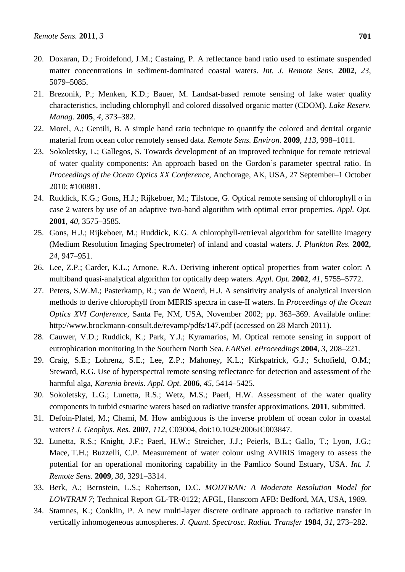- 20. Doxaran, D.; Froidefond, J.M.; Castaing, P. A reflectance band ratio used to estimate suspended matter concentrations in sediment-dominated coastal waters. *Int. J. Remote Sens.* **2002**, *23*, 5079–5085.
- 21. Brezonik, P.; Menken, K.D.; Bauer, M. Landsat-based remote sensing of lake water quality characteristics, including chlorophyll and colored dissolved organic matter (CDOM). *Lake Reserv. Manag.* **2005**, *4*, 373–382.
- 22. Morel, A.; Gentili, B. A simple band ratio technique to quantify the colored and detrital organic material from ocean color remotely sensed data. *Remote Sens. Environ.* **2009**, *113*, 998–1011.
- 23. Sokoletsky, L.; Gallegos, S. Towards development of an improved technique for remote retrieval of water quality components: An approach based on the Gordon's parameter spectral ratio. In *Proceedings of the Ocean Optics XX Conference*, Anchorage, AK, USA, 27 September–1 October 2010; #100881.
- 24. Ruddick, K.G.; Gons, H.J.; Rijkeboer, M.; Tilstone, G. Optical remote sensing of chlorophyll *a* in case 2 waters by use of an adaptive two-band algorithm with optimal error properties. *Appl. Opt.* **2001**, *40*, 3575–3585.
- 25. Gons, H.J.; Rijkeboer, M.; Ruddick, K.G. A chlorophyll-retrieval algorithm for satellite imagery (Medium Resolution Imaging Spectrometer) of inland and coastal waters. *J. Plankton Res.* **2002**, *24*, 947–951.
- 26. Lee, Z.P.; Carder, K.L.; Arnone, R.A. Deriving inherent optical properties from water color: A multiband quasi-analytical algorithm for optically deep waters. *Appl. Opt.* **2002**, *41*, 5755–5772.
- 27. Peters, S.W.M.; Pasterkamp, R.; van de Woerd, H.J. A sensitivity analysis of analytical inversion methods to derive chlorophyll from MERIS spectra in case-II waters. In *Proceedings of the Ocean Optics XVI Conference*, Santa Fe, NM, USA, November 2002; pp. 363–369. Available online: http://www.brockmann-consult.de/revamp/pdfs/147.pdf (accessed on 28 March 2011).
- 28. Cauwer, V.D.; Ruddick, K.; Park, Y.J.; Kyramarios, M. Optical remote sensing in support of eutrophication monitoring in the Southern North Sea. *EARSeL eProceedings* **2004**, *3*, 208–221.
- 29. Craig, S.E.; Lohrenz, S.E.; Lee, Z.P.; Mahoney, K.L.; Kirkpatrick, G.J.; Schofield, O.M.; Steward, R.G. Use of hyperspectral remote sensing reflectance for detection and assessment of the harmful alga, *Karenia brevis*. *Appl. Opt.* **2006**, *45*, 5414–5425.
- 30. Sokoletsky, L.G.; Lunetta, R.S.; Wetz, M.S.; Paerl, H.W. Assessment of the water quality components in turbid estuarine waters based on radiative transfer approximations. **2011**, submitted.
- 31. Defoin-Platel, M.; Chami, M. How ambiguous is the inverse problem of ocean color in coastal waters? *J. Geophys. Res.* **2007**, *112*, C03004, doi:10.1029/2006JC003847.
- 32. Lunetta, R.S.; Knight, J.F.; Paerl, H.W.; Streicher, J.J.; Peierls, B.L.; Gallo, T.; Lyon, J.G.; Mace, T.H.; Buzzelli, C.P. Measurement of water colour using AVIRIS imagery to assess the potential for an operational monitoring capability in the Pamlico Sound Estuary, USA. *Int. J. Remote Sens.* **2009**, *30*, 3291–3314.
- 33. Berk, A.; Bernstein, L.S.; Robertson, D.C. *MODTRAN: A Moderate Resolution Model for LOWTRAN 7*; Technical Report GL-TR-0122; AFGL, Hanscom AFB: Bedford, MA, USA, 1989.
- 34. Stamnes, K.; Conklin, P. A new multi-layer discrete ordinate approach to radiative transfer in vertically inhomogeneous atmospheres. *J. Quant. Spectrosc. Radiat. Transfer* **1984**, *31*, 273–282.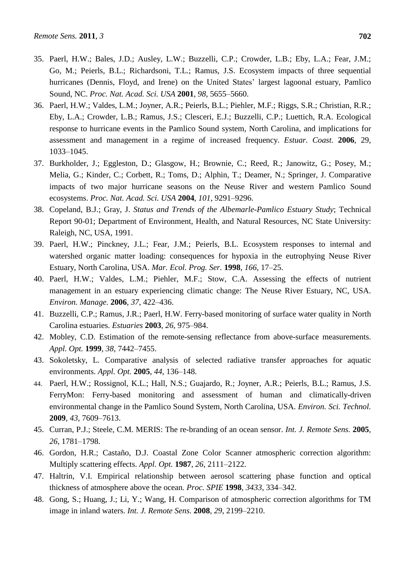- 35. Paerl, H.W.; Bales, J.D.; Ausley, L.W.; Buzzelli, C.P.; Crowder, L.B.; Eby, L.A.; Fear, J.M.; Go, M.; Peierls, B.L.; Richardsoni, T.L.; Ramus, J.S. Ecosystem impacts of three sequential hurricanes (Dennis, Floyd, and Irene) on the United States' largest lagoonal estuary, Pamlico Sound, NC. *Proc. Nat. Acad. Sci. USA* **2001**, *98*, 5655–5660.
- 36. Paerl, H.W.; Valdes, L.M.; Joyner, A.R.; Peierls, B.L.; Piehler, M.F.; Riggs, S.R.; Christian, R.R.; Eby, L.A.; Crowder, L.B.; Ramus, J.S.; Clesceri, E.J.; Buzzelli, C.P.; Luettich, R.A. Ecological response to hurricane events in the Pamlico Sound system, North Carolina, and implications for assessment and management in a regime of increased frequency. *Estuar. Coast.* **2006**, 29, 1033–1045.
- 37. Burkholder, J.; Eggleston, D.; Glasgow, H.; [Brownie,](http://www.pnas.org/search?author1=Cavell+Brownie&sortspec=date&submit=Submit) C.; [Reed,](http://www.pnas.org/search?author1=Robert+Reed&sortspec=date&submit=Submit) R.; [Janowitz,](http://www.pnas.org/search?author1=Gerald+Janowitz&sortspec=date&submit=Submit) G.; [Posey,](http://www.pnas.org/search?author1=Martin+Posey&sortspec=date&submit=Submit) M.; [Melia,](http://www.pnas.org/search?author1=Greg+Melia&sortspec=date&submit=Submit) G.; [Kinder,](http://www.pnas.org/search?author1=Carol+Kinder&sortspec=date&submit=Submit) C.; [Corbett,](http://www.pnas.org/search?author1=Reide+Corbett&sortspec=date&submit=Submit) R.; [Toms,](http://www.pnas.org/search?author1=David+Toms&sortspec=date&submit=Submit) D.; [Alphin,](http://www.pnas.org/search?author1=Troy+Alphin&sortspec=date&submit=Submit) T.; [Deamer,](http://www.pnas.org/search?author1=Nora+Deamer&sortspec=date&submit=Submit) N.; [Springer,](http://www.pnas.org/search?author1=Jeffrey+Springer&sortspec=date&submit=Submit) J. Comparative impacts of two major hurricane seasons on the Neuse River and western Pamlico Sound ecosystems. *Proc. Nat. Acad. Sci. USA* **2004**, *101*, 9291–9296.
- 38. Copeland, B.J.; Gray, J. *Status and Trends of the Albemarle-Pamlico Estuary Study*; Technical Report 90-01; Department of Environment, Health, and Natural Resources, NC State University: Raleigh, NC, USA, 1991.
- 39. Paerl, H.W.; Pinckney, J.L.; Fear, J.M.; Peierls, B.L. Ecosystem responses to internal and watershed organic matter loading: consequences for hypoxia in the eutrophying Neuse River Estuary, North Carolina, USA. *Mar. Ecol. Prog. Ser.* **1998**, *166*, 17–25.
- 40. Paerl, H.W.; Valdes, L.M.; Piehler, M.F.; Stow, C.A. Assessing the effects of nutrient management in an estuary experiencing climatic change: The Neuse River Estuary, NC, USA. *Environ. Manage.* **2006**, *37*, 422–436.
- 41. Buzzelli, C.P.; Ramus, J.R.; Paerl, H.W. Ferry-based monitoring of surface water quality in North Carolina estuaries. *Estuaries* **2003**, *26*, 975–984.
- 42. Mobley, C.D. Estimation of the remote-sensing reflectance from above-surface measurements. *Appl. Opt.* **1999**, *38*, 7442–7455.
- 43. Sokoletsky, L. Comparative analysis of selected radiative transfer approaches for aquatic environments. *Appl. Opt.* **2005**, *44*, 136–148.
- 44. Paerl, H.W.; Rossignol, K.L.; Hall, N.S.; Guajardo, R.; Joyner, A.R.; Peierls, B.L.; Ramus, J.S. FerryMon: Ferry-based monitoring and assessment of human and climatically-driven environmental change in the Pamlico Sound System, North Carolina, USA. *Environ. Sci. Technol.* **2009**, *43*, 7609–7613.
- 45. Curran, P.J.; Steele, C.M. MERIS: The re-branding of an ocean sensor. *Int. J. Remote Sens.* **2005**, *26*, 1781–1798.
- 46. Gordon, H.R.; Castaño, D.J. Coastal Zone Color Scanner atmospheric correction algorithm: Multiply scattering effects. *Appl. Opt.* **1987**, *26*, 2111–2122.
- 47. Haltrin, V.I. Empirical relationship between aerosol scattering phase function and optical thickness of atmosphere above the ocean. *Proc. SPIE* **1998**, *3433*, 334–342.
- 48. Gong, S.; Huang, J.; Li, Y.; Wang, H. Comparison of atmospheric correction algorithms for TM image in inland waters. *Int. J. Remote Sens.* **2008**, *29*, 2199–2210.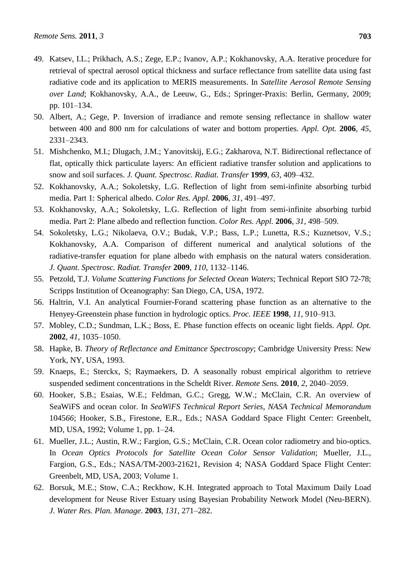- 49. Katsev, I.L.; Prikhach, A.S.; Zege, E.P.; Ivanov, A.P.; Kokhanovsky, A.A. Iterative procedure for retrieval of spectral aerosol optical thickness and surface reflectance from satellite data using fast radiative code and its application to MERIS measurements. In *Satellite Aerosol Remote Sensing over Land*; Kokhanovsky, A.A., de Leeuw, G., Eds.; Springer-Praxis: Berlin, Germany, 2009; pp. 101–134.
- 50. Albert, A.; Gege, P. Inversion of irradiance and remote sensing reflectance in shallow water between 400 and 800 nm for calculations of water and bottom properties. *Appl. Opt.* **2006**, *45*, 2331–2343.
- 51. Mishchenko, M.I.; Dlugach, J.M.; Yanovitskij, E.G.; Zakharova, N.T. Bidirectional reflectance of flat, optically thick particulate layers: An efficient radiative transfer solution and applications to snow and soil surfaces. *J. Quant. Spectrosc. Radiat. Transfer* **1999**, *63*, 409–432.
- 52. Kokhanovsky, A.A.; Sokoletsky, L.G. Reflection of light from semi-infinite absorbing turbid media. Part 1: Spherical albedo. *Color Res. Appl.* **2006**, *31*, 491–497.
- 53. Kokhanovsky, A.A.; Sokoletsky, L.G. Reflection of light from semi-infinite absorbing turbid media. Part 2: Plane albedo and reflection function. *Color Res. Appl.* **2006**, *31*, 498–509.
- 54. Sokoletsky, L.G.; Nikolaeva, O.V.; Budak, V.P.; Bass, L.P.; Lunetta, R.S.; Kuznetsov, V.S.; Kokhanovsky, A.A. Comparison of different numerical and analytical solutions of the radiative-transfer equation for plane albedo with emphasis on the natural waters consideration. *J. Quant. Spectrosc. Radiat. Transfer* **2009**, *110*, 1132–1146.
- 55. Petzold, T.J. *Volume Scattering Functions for Selected Ocean Waters*; Technical Report SIO 72-78; Scripps Institution of Oceanography: San Diego, CA, USA, 1972.
- 56. Haltrin, V.I. An analytical Fournier-Forand scattering phase function as an alternative to the Henyey-Greenstein phase function in hydrologic optics. *Proc. IEEE* **1998**, *11*, 910–913.
- 57. Mobley, C.D.; Sundman, L.K.; Boss, E. Phase function effects on oceanic light fields. *Appl. Opt.* **2002**, *41*, 1035–1050.
- 58. Hapke, B. *Theory of Reflectance and Emittance Spectroscopy*; Cambridge University Press: New York, NY, USA, 1993.
- 59. Knaeps, E.; Sterckx, S; Raymaekers, D. A seasonally robust empirical algorithm to retrieve suspended sediment concentrations in the Scheldt River. *Remote Sens.* **2010**, *2*, 2040–2059.
- 60. Hooker, S.B.; Esaias, W.E.; Feldman, G.C.; Gregg, W.W.; McClain, C.R. An overview of SeaWiFS and ocean color. In *SeaWiFS Technical Report Series*, *NASA Technical Memorandum* 1045*66*; Hooker, S.B., Firestone, E.R., Eds.; NASA Goddard Space Flight Center: Greenbelt, MD, USA, 1992; Volume 1, pp. 1–24.
- 61. Mueller, J.L.; Austin, R.W.; Fargion, G.S.; McClain, C.R. Ocean color radiometry and bio-optics. In *Ocean Optics Protocols for Satellite Ocean Color Sensor Validation*; Mueller, J.L., Fargion, G.S., Eds.; NASA/TM-2003-21621, Revision 4; NASA Goddard Space Flight Center: Greenbelt, MD, USA, 2003; Volume 1.
- 62. Borsuk, M.E.; Stow, C.A.; Reckhow, K.H. Integrated approach to Total Maximum Daily Load development for Neuse River Estuary using Bayesian Probability Network Model (Neu-BERN). *J. Water Res. Plan. Manage*. **2003**, *131*, 271–282.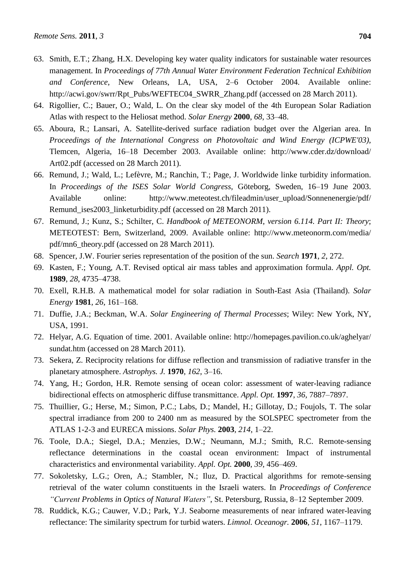- 63. Smith, E.T.; Zhang, H.X. Developing key water quality indicators for sustainable water resources management. In *Proceedings of 77th Annual Water Environment Federation Technical Exhibition and Conference*, New Orleans, LA, USA, 2–6 October 2004. Available online: http://acwi.gov/swrr/Rpt\_Pubs/WEFTEC04\_SWRR\_Zhang.pdf (accessed on 28 March 2011).
- 64. Rigollier, C.; Bauer, O.; Wald, L. On the clear sky model of the 4th European Solar Radiation Atlas with respect to the Heliosat method. *Solar Energy* **2000**, *68*, 33–48.
- 65. Aboura, R.; Lansari, A. Satellite-derived surface radiation budget over the Algerian area. In *Proceedings of the International Congress on Photovoltaic and Wind Energy (ICPWE'03)*, Tlemcen, Algeria, 16–18 December 2003. Available online: http://www.cder.dz/download/ Art02.pdf (accessed on 28 March 2011).
- 66. Remund, J.; Wald, L.; Lefèvre, M.; Ranchin, T.; Page, J. Worldwide linke turbidity information. In *Proceedings of the ISES Solar World Congress*, Göteborg, Sweden, 16–19 June 2003. Available online: http://www.meteotest.ch/fileadmin/user\_upload/Sonnenenergie/pdf/ Remund\_ises2003\_linketurbidity.pdf (accessed on 28 March 2011).
- 67. Remund, J.; Kunz, S.; Schilter, C. *Handbook of METEONORM*, *version 6.114. Part II: Theory*; METEOTEST: Bern, Switzerland, 2009. Available online: http://www.meteonorm.com/media/ pdf/mn6\_theory.pdf (accessed on 28 March 2011).
- 68. Spencer, J.W. Fourier series representation of the position of the sun. *Search* **1971**, *2*, 272.
- 69. Kasten, F.; Young, A.T. Revised optical air mass tables and approximation formula. *Appl. Opt.* **1989**, *28*, 4735–4738.
- 70. Exell, R.H.B. A mathematical model for solar radiation in South-East Asia (Thailand). *Solar Energy* **1981**, *26*, 161–168.
- 71. Duffie, J.A.; Beckman, W.A. *Solar Engineering of Thermal Processes*; Wiley: New York, NY, USA, 1991.
- 72. Helyar, A.G. Equation of time. 2001. Available online: http://homepages.pavilion.co.uk/aghelyar/ sundat.htm (accessed on 28 March 2011).
- 73. Sekera, Z. Reciprocity relations for diffuse reflection and transmission of radiative transfer in the planetary atmosphere. *Astrophys. J.* **1970**, *162*, 3–16.
- 74. Yang, H.; Gordon, H.R. Remote sensing of ocean color: assessment of water-leaving radiance bidirectional effects on atmospheric diffuse transmittance. *Appl. Opt.* **1997**, *36*, 7887–7897.
- 75. Thuillier, G.; Herse, M.; Simon, P.C.; Labs, D.; Mandel, H.; Gillotay, D.; Foujols, T. The solar spectral irradiance from 200 to 2400 nm as measured by the SOLSPEC spectrometer from the ATLAS 1-2-3 and EURECA missions. *Solar Phys.* **2003**, *214*, 1–22.
- 76. Toole, D.A.; Siegel, D.A.; Menzies, D.W.; Neumann, M.J.; Smith, R.C. Remote-sensing reflectance determinations in the coastal ocean environment: Impact of instrumental characteristics and environmental variability. *Appl. Opt.* **2000**, *39*, 456–469.
- 77. Sokoletsky, L.G.; Oren, A.; Stambler, N.; Iluz, D. Practical algorithms for remote-sensing retrieval of the water column constituents in the Israeli waters. In *Proceedings of Conference "Current Problems in Optics of Natural Waters"*, St. Petersburg, Russia, 8–12 September 2009.
- 78. Ruddick, K.G.; Cauwer, V.D.; Park, Y.J. Seaborne measurements of near infrared water-leaving reflectance: The similarity spectrum for turbid waters. *Limnol. Oceanogr.* **2006**, *51*, 1167–1179.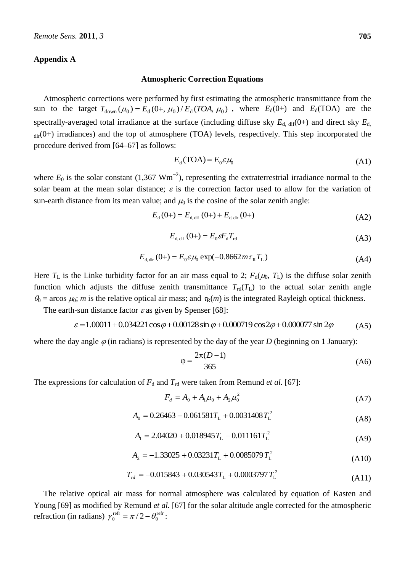## **Appendix A**

#### **Atmospheric Correction Equations**

Atmospheric corrections were performed by first estimating the atmospheric transmittance from the sun to the target  $T_{down}(\mu_0) = E_d(0+,\mu_0)/E_d(TOA,\mu_0)$ , where  $E_d(0+)$  and  $E_d(TOA)$  are the spectrally-averaged total irradiance at the surface (including diffuse sky  $E_{d, \text{dif}}(0+)$  and direct sky  $E_{d, \text{d}}$  $_{dir}(0+)$  irradiances) and the top of atmosphere (TOA) levels, respectively. This step incorporated the procedure derived from [64–67] as follows:

$$
E_{d}(\text{TOA}) = E_{0} \varepsilon \mu_{0} \tag{A1}
$$

where  $E_0$  is the solar constant (1,367  $Wm^{-2}$ ), representing the extraterrestrial irradiance normal to the solar beam at the mean solar distance;  $\varepsilon$  is the correction factor used to allow for the variation of sun-earth distance from its mean value; and  $\mu_0$  is the cosine of the solar zenith angle:

$$
E_{d}(0+) = E_{d, \text{dif}}(0+) + E_{d, \text{dir}}(0+) \tag{A2}
$$

$$
E_{d, \text{dif}}(0+) = E_0 \varepsilon F_d T_{\text{rd}} \tag{A3}
$$

$$
E_{d, dir}(0+) = E_0 \varepsilon \mu_0 \exp(-0.8662 m \tau_R T_L)
$$
\n(A4)

Here  $T_L$  is the Linke turbidity factor for an air mass equal to 2;  $F_d(\mu_0, T_L)$  is the diffuse solar zenith function which adjusts the diffuse zenith transmittance  $T_{\text{rd}}(T_L)$  to the actual solar zenith angle  $\theta_0$  = arcos  $\mu_0$ ; *m* is the relative optical air mass; and  $\tau_R(m)$  is the integrated Rayleigh optical thickness.

The earth-sun distance factor  $\varepsilon$  as given by Spenser [68]:

$$
\varepsilon = 1.00011 + 0.034221 \cos \varphi + 0.00128 \sin \varphi + 0.000719 \cos 2\varphi + 0.000077 \sin 2\varphi
$$
 (A5)

where the day angle  $\varphi$  (in radians) is represented by the day of the year *D* (beginning on 1 January):

$$
\varphi = \frac{2\pi(D-1)}{365} \tag{A6}
$$

The expressions for calculation of  $F_d$  and  $T_{rd}$  were taken from Remund *et al.* [67]:

$$
F_d = A_0 + A_1 \mu_0 + A_2 \mu_0^2 \tag{A7}
$$

$$
A_0 = 0.26463 - 0.061581T_{\rm L} + 0.0031408T_{\rm L}^2 \tag{A8}
$$

$$
A_{\rm l} = 2.04020 + 0.018945T_{\rm L} - 0.011161T_{\rm L}^2 \tag{A9}
$$

$$
A_2 = -1.33025 + 0.03231T_L + 0.0085079T_L^2
$$
\n(A10)

$$
T_{rd} = -0.015843 + 0.030543 T_{L} + 0.0003797 T_{L}^{2}
$$
\n(A11)

The relative optical air mass for normal atmosphere was calculated by equation of Kasten and Young [69] as modified by Remund *et al.* [67] for the solar altitude angle corrected for the atmospheric refraction (in radians)  $\gamma_0^{\text{refr}} = \pi/2 - \theta_0^{\text{refr}}$  $\gamma_0^{\text{refr}} = \pi/2 - \theta_0^{\text{refr}}$ :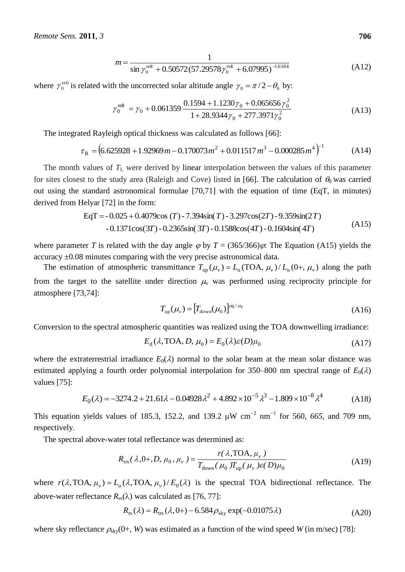$$
m = \frac{1}{\sin \gamma_0^{\text{ref}} + 0.50572(57.29578\gamma_0^{\text{ref}} + 6.07995)^{-1.6364}} \tag{A12}
$$

where  $\gamma_0^{\text{refr}}$  $\gamma_0^{\text{refr}}$  is related with the uncorrected solar altitude angle  $\gamma_0 = \pi/2 - \theta_0$  by:

$$
\gamma_0^{\text{refr}} = \gamma_0 + 0.061359 \frac{0.1594 + 1.1230\gamma_0 + 0.065656\gamma_0^2}{1 + 28.9344\gamma_0 + 277.3971\gamma_0^2}
$$
\n(A13)

The integrated Rayleigh optical thickness was calculated as follows [66]:

$$
\tau_{\rm R} = \left(6.625928 + 1.92969 \, m - 0.170073 \, m^2 + 0.011517 \, m^3 - 0.000285 \, m^4\right)^{-1} \tag{A14}
$$

The month values of  $T_L$  were derived by linear interpolation between the values of this parameter for sites closest to the study area (Raleigh and Cove) listed in [66]. The calculation of  $\theta_0$  was carried out using the standard astronomical formulae [70,71] with the equation of time (EqT, in minutes) derived from Helyar [72] in the form:

 - 0.1371cos(3 )- 0.2365sin( 3 )- 0.1588cos(4 )- 0.1604sin( 4 ) EqT - 0.025 0.4079cos ( )- 7.394sin( )-3.297cos(2 )-9.359sin(2 ) *T T T T T T T T* (A15)

where parameter *T* is related with the day angle  $\varphi$  by *T* = (365/366) $\varphi$ . The Equation (A15) yields the accuracy ±0.08 minutes comparing with the very precise astronomical data.

The estimation of atmospheric transmittance  $T_{up}(\mu_v) = L_u(\text{TOA}, \mu_v) / L_u(0^+, \mu_v)$  along the path from the target to the satellite under direction  $\mu$  was performed using reciprocity principle for atmosphere [73,74]:

$$
T_{\rm up}(\mu_{\nu}) = [T_{\rm down}(\mu_0)]^{\mu_0/\mu_{\nu}} \tag{A16}
$$

Conversion to the spectral atmospheric quantities was realized using the TOA downwelling irradiance:

$$
E_{d}(\lambda, \text{TOA}, D, \mu_{0}) = E_{0}(\lambda)\varepsilon(D)\mu_{0}
$$
\n(A17)

where the extraterrestrial irradiance  $E_0(\lambda)$  normal to the solar beam at the mean solar distance was estimated applying a fourth order polynomial interpolation for 350–800 nm spectral range of  $E_0(\lambda)$ values [75]:

$$
E_0(\lambda) = -3274.2 + 21.61\lambda - 0.04928\lambda^2 + 4.892 \times 10^{-5} \lambda^3 - 1.809 \times 10^{-8} \lambda^4
$$
 (A18)

This equation yields values of 185.3, 152.2, and 139.2  $\mu$ W cm<sup>-2</sup> nm<sup>-1</sup> for 560, 665, and 709 nm, respectively.

The spectral above-water total reflectance was determined as:

$$
R_{\text{trs}}(\lambda, 0+, D, \mu_0, \mu_\nu) = \frac{r(\lambda, \text{TOA}, \mu_\nu)}{T_{\text{down}}(\mu_0) T_{\text{up}}(\mu_\nu) \varepsilon(D)\mu_0}
$$
(A19)

where  $r(\lambda,TOA, \mu_v) = L_u(\lambda,TOA, \mu_v)/E_0(\lambda)$  is the spectral TOA bidirectional reflectance. The above-water reflectance  $R_{rs}(\lambda)$  was calculated as [76, 77]:

$$
R_{\rm rs}(\lambda) = R_{\rm trs}(\lambda, 0+) - 6.584 \rho_{\rm sky} \exp(-0.01075 \lambda)
$$
 (A20)

where sky reflectance  $\rho_{sky}(0+, W)$  was estimated as a function of the wind speed *W* (in m/sec) [78]: